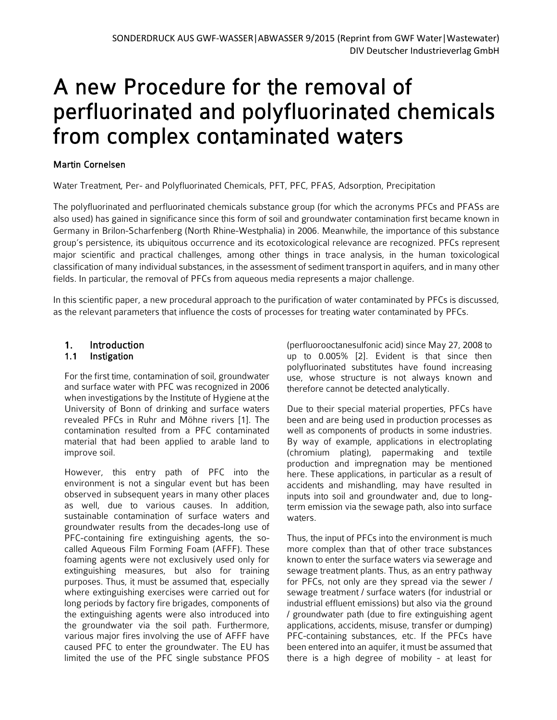# A new Procedure for the removal of perfluorinated and polyfluorinated chemicals from complex contaminated waters

# Martin Cornelsen

Water Treatment, Per- and Polyfluorinated Chemicals, PFT, PFC, PFAS, Adsorption, Precipitation

The polyfluorinated and perfluorinated chemicals substance group (for which the acronyms PFCs and PFASs are also used) has gained in significance since this form of soil and groundwater contamination first became known in Germany in Brilon-Scharfenberg (North Rhine-Westphalia) in 2006. Meanwhile, the importance of this substance group's persistence, its ubiquitous occurrence and its ecotoxicological relevance are recognized. PFCs represent major scientific and practical challenges, among other things in trace analysis, in the human toxicological classification of many individual substances, in the assessment of sediment transport in aquifers, and in many other fields. In particular, the removal of PFCs from aqueous media represents a major challenge.

In this scientific paper, a new procedural approach to the purification of water contaminated by PFCs is discussed, as the relevant parameters that influence the costs of processes for treating water contaminated by PFCs.

# 1. Introduction

### 1.1 Instigation

For the first time, contamination of soil, groundwater and surface water with PFC was recognized in 2006 when investigations by the Institute of Hygiene at the University of Bonn of drinking and surface waters revealed PFCs in Ruhr and Möhne rivers [1]. The contamination resulted from a PFC contaminated material that had been applied to arable land to improve soil.

However, this entry path of PFC into the environment is not a singular event but has been observed in subsequent years in many other places as well, due to various causes. In addition, sustainable contamination of surface waters and groundwater results from the decades-long use of PFC-containing fire extinguishing agents, the socalled Aqueous Film Forming Foam (AFFF). These foaming agents were not exclusively used only for extinguishing measures, but also for training purposes. Thus, it must be assumed that, especially where extinguishing exercises were carried out for long periods by factory fire brigades, components of the extinguishing agents were also introduced into the groundwater via the soil path. Furthermore, various major fires involving the use of AFFF have caused PFC to enter the groundwater. The EU has limited the use of the PFC single substance PFOS

(perfluorooctanesulfonic acid) since May 27, 2008 to up to 0.005% [2]. Evident is that since then polyfluorinated substitutes have found increasing use, whose structure is not always known and therefore cannot be detected analytically.

Due to their special material properties, PFCs have been and are being used in production processes as well as components of products in some industries. By way of example, applications in electroplating (chromium plating), papermaking and textile production and impregnation may be mentioned here. These applications, in particular as a result of accidents and mishandling, may have resulted in inputs into soil and groundwater and, due to longterm emission via the sewage path, also into surface waters.

Thus, the input of PFCs into the environment is much more complex than that of other trace substances known to enter the surface waters via sewerage and sewage treatment plants. Thus, as an entry pathway for PFCs, not only are they spread via the sewer / sewage treatment / surface waters (for industrial or industrial effluent emissions) but also via the ground / groundwater path (due to fire extinguishing agent applications, accidents, misuse, transfer or dumping) PFC-containing substances, etc. If the PFCs have been entered into an aquifer, it must be assumed that there is a high degree of mobility - at least for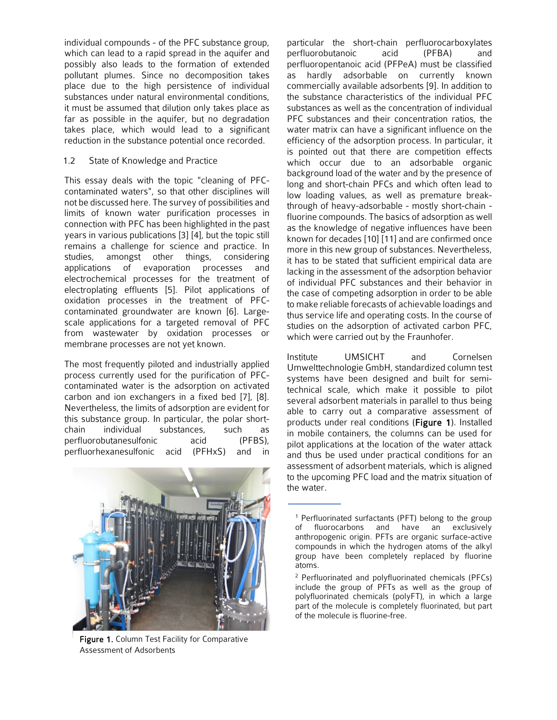individual compounds - of the PFC substance group, which can lead to a rapid spread in the aquifer and possibly also leads to the formation of extended pollutant plumes. Since no decomposition takes place due to the high persistence of individual substances under natural environmental conditions, it must be assumed that dilution only takes place as far as possible in the aquifer, but no degradation takes place, which would lead to a significant reduction in the substance potential once recorded.

#### 1.2 State of Knowledge and Practice

This essay deals with the topic "cleaning of PFCcontaminated waters", so that other disciplines will not be discussed here. The survey of possibilities and limits of known water purification processes in connection with PFC has been highlighted in the past years in various publications [3] [4], but the topic still remains a challenge for science and practice. In studies, amongst other things, considering applications of evaporation processes and electrochemical processes for the treatment of electroplating effluents [5]. Pilot applications of oxidation processes in the treatment of PFCcontaminated groundwater are known [6]. Largescale applications for a targeted removal of PFC from wastewater by oxidation processes or membrane processes are not yet known.

The most frequently piloted and industrially applied process currently used for the purification of PFCcontaminated water is the adsorption on activated carbon and ion exchangers in a fixed bed [7], [8]. Nevertheless, the limits of adsorption are evident for this substance group. In particular, the polar shortchain individual substances, such as perfluorobutanesulfonic acid (PFBS), perfluorhexanesulfonic acid (PFHxS) and in



Figure 1. Column Test Facility for Comparative Assessment of Adsorbents

particular the short-chain perfluorocarboxylates perfluorobutanoic acid (PFBA) and perfluoropentanoic acid (PFPeA) must be classified as hardly adsorbable on currently known commercially available adsorbents [9]. In addition to the substance characteristics of the individual PFC substances as well as the concentration of individual PFC substances and their concentration ratios, the water matrix can have a significant influence on the efficiency of the adsorption process. In particular, it is pointed out that there are competition effects which occur due to an adsorbable organic background load of the water and by the presence of long and short-chain PFCs and which often lead to low loading values, as well as premature breakthrough of heavy-adsorbable - mostly short-chain fluorine compounds. The basics of adsorption as well as the knowledge of negative influences have been known for decades [10] [11] and are confirmed once more in this new group of substances. Nevertheless, it has to be stated that sufficient empirical data are lacking in the assessment of the adsorption behavior of individual PFC substances and their behavior in the case of competing adsorption in order to be able to make reliable forecasts of achievable loadings and thus service life and operating costs. In the course of studies on the adsorption of activated carbon PFC, which were carried out by the Fraunhofer.

Institute UMSICHT and Cornelsen Umwelttechnologie GmbH, standardized column test systems have been designed and built for semitechnical scale, which make it possible to pilot several adsorbent materials in parallel to thus being able to carry out a comparative assessment of products under real conditions (Figure 1). Installed in mobile containers, the columns can be used for pilot applications at the location of the water attack and thus be used under practical conditions for an assessment of adsorbent materials, which is aligned to the upcoming PFC load and the matrix situation of the water.

<sup>1</sup> Perfluorinated surfactants (PFT) belong to the group of fluorocarbons and have an exclusively anthropogenic origin. PFTs are organic surface-active compounds in which the hydrogen atoms of the alkyl group have been completely replaced by fluorine atoms.

<sup>2</sup> Perfluorinated and polyfluorinated chemicals (PFCs) include the group of PFTs as well as the group of polyfluorinated chemicals (polyFT), in which a large part of the molecule is completely fluorinated, but part of the molecule is fluorine-free.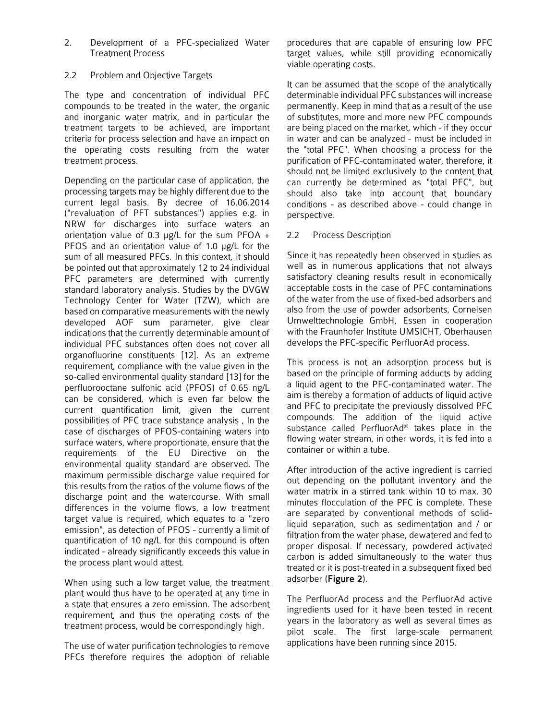2. Development of a PFC-specialized Water Treatment Process

#### 2.2 Problem and Objective Targets

The type and concentration of individual PFC compounds to be treated in the water, the organic and inorganic water matrix, and in particular the treatment targets to be achieved, are important criteria for process selection and have an impact on the operating costs resulting from the water treatment process.

Depending on the particular case of application, the processing targets may be highly different due to the current legal basis. By decree of 16.06.2014 ("revaluation of PFT substances") applies e.g. in NRW for discharges into surface waters an orientation value of 0.3 μg/L for the sum PFOA + PFOS and an orientation value of 1.0 μg/L for the sum of all measured PFCs. In this context, it should be pointed out that approximately 12 to 24 individual PFC parameters are determined with currently standard laboratory analysis. Studies by the DVGW Technology Center for Water (TZW), which are based on comparative measurements with the newly developed AOF sum parameter, give clear indications that the currently determinable amount of individual PFC substances often does not cover all organofluorine constituents [12]. As an extreme requirement, compliance with the value given in the so-called environmental quality standard [13] for the perfluorooctane sulfonic acid (PFOS) of 0.65 ng/L can be considered, which is even far below the current quantification limit, given the current possibilities of PFC trace substance analysis , In the case of discharges of PFOS-containing waters into surface waters, where proportionate, ensure that the requirements of the EU Directive on the environmental quality standard are observed. The maximum permissible discharge value required for this results from the ratios of the volume flows of the discharge point and the watercourse. With small differences in the volume flows, a low treatment target value is required, which equates to a "zero emission", as detection of PFOS - currently a limit of quantification of 10 ng/L for this compound is often indicated - already significantly exceeds this value in the process plant would attest.

When using such a low target value, the treatment plant would thus have to be operated at any time in a state that ensures a zero emission. The adsorbent requirement, and thus the operating costs of the treatment process, would be correspondingly high.

The use of water purification technologies to remove PFCs therefore requires the adoption of reliable procedures that are capable of ensuring low PFC target values, while still providing economically viable operating costs.

It can be assumed that the scope of the analytically determinable individual PFC substances will increase permanently. Keep in mind that as a result of the use of substitutes, more and more new PFC compounds are being placed on the market, which - if they occur in water and can be analyzed - must be included in the "total PFC". When choosing a process for the purification of PFC-contaminated water, therefore, it should not be limited exclusively to the content that can currently be determined as "total PFC", but should also take into account that boundary conditions - as described above - could change in perspective.

#### 2.2 Process Description

Since it has repeatedly been observed in studies as well as in numerous applications that not always satisfactory cleaning results result in economically acceptable costs in the case of PFC contaminations of the water from the use of fixed-bed adsorbers and also from the use of powder adsorbents, Cornelsen Umwelttechnologie GmbH, Essen in cooperation with the Fraunhofer Institute UMSICHT, Oberhausen develops the PFC-specific PerfluorAd process.

This process is not an adsorption process but is based on the principle of forming adducts by adding a liquid agent to the PFC-contaminated water. The aim is thereby a formation of adducts of liquid active and PFC to precipitate the previously dissolved PFC compounds. The addition of the liquid active substance called PerfluorAd® takes place in the flowing water stream, in other words, it is fed into a container or within a tube.

After introduction of the active ingredient is carried out depending on the pollutant inventory and the water matrix in a stirred tank within 10 to max. 30 minutes flocculation of the PFC is complete. These are separated by conventional methods of solidliquid separation, such as sedimentation and / or filtration from the water phase, dewatered and fed to proper disposal. If necessary, powdered activated carbon is added simultaneously to the water thus treated or it is post-treated in a subsequent fixed bed adsorber (Figure 2).

The PerfluorAd process and the PerfluorAd active ingredients used for it have been tested in recent years in the laboratory as well as several times as pilot scale. The first large-scale permanent applications have been running since 2015.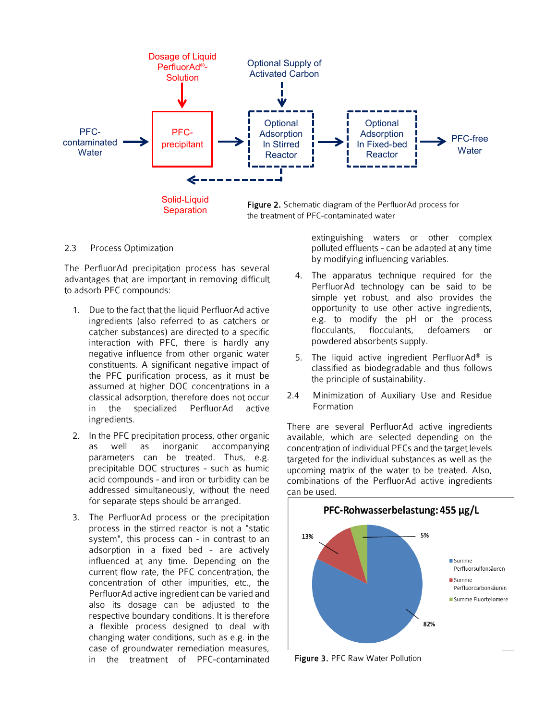

2.3 Process Optimization

The PerfluorAd precipitation process has several advantages that are important in removing difficult to adsorb PFC compounds:

- 1. Due to the fact that the liquid PerfluorAd active ingredients (also referred to as catchers or catcher substances) are directed to a specific interaction with PFC, there is hardly any negative influence from other organic water constituents. A significant negative impact of the PFC purification process, as it must be assumed at higher DOC concentrations in a classical adsorption, therefore does not occur in the specialized PerfluorAd active ingredients.
- 2. In the PFC precipitation process, other organic as well as inorganic accompanying parameters can be treated. Thus, e.g. precipitable DOC structures - such as humic acid compounds - and iron or turbidity can be addressed simultaneously, without the need for separate steps should be arranged.
- 3. The PerfluorAd process or the precipitation process in the stirred reactor is not a "static system", this process can - in contrast to an adsorption in a fixed bed - are actively influenced at any time. Depending on the current flow rate, the PFC concentration, the concentration of other impurities, etc., the PerfluorAd active ingredient can be varied and also its dosage can be adjusted to the respective boundary conditions. It is therefore a flexible process designed to deal with changing water conditions, such as e.g. in the case of groundwater remediation measures, in the treatment of PFC-contaminated

extinguishing waters or other complex polluted effluents - can be adapted at any time by modifying influencing variables.

- 4. The apparatus technique required for the PerfluorAd technology can be said to be simple yet robust, and also provides the opportunity to use other active ingredients, e.g. to modify the pH or the process flocculants, flocculants, defoamers or powdered absorbents supply.
- 5. The liquid active ingredient PerfluorAd® is classified as biodegradable and thus follows the principle of sustainability.
- 2.4 Minimization of Auxiliary Use and Residue Formation

There are several PerfluorAd active ingredients available, which are selected depending on the concentration of individual PFCs and the target levels targeted for the individual substances as well as the upcoming matrix of the water to be treated. Also, combinations of the PerfluorAd active ingredients can be used.



Figure 3. PFC Raw Water Pollution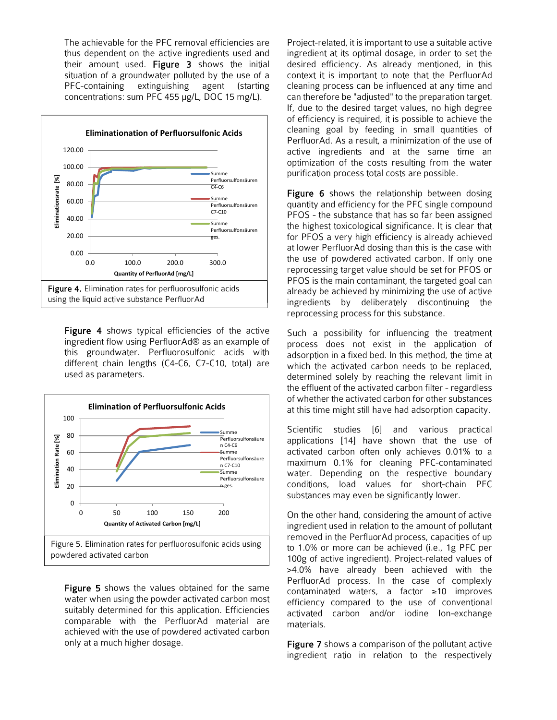The achievable for the PFC removal efficiencies are thus dependent on the active ingredients used and their amount used. Figure 3 shows the initial situation of a groundwater polluted by the use of a PFC-containing extinguishing agent (starting concentrations: sum PFC 455 μg/L, DOC 15 mg/L).



**Figure 4** shows typical efficiencies of the active ingredient flow using PerfluorAd® as an example of this groundwater. Perfluorosulfonic acids with different chain lengths (C4-C6, C7-C10, total) are used as parameters.



Figure 5 shows the values obtained for the same water when using the powder activated carbon most suitably determined for this application. Efficiencies comparable with the PerfluorAd material are achieved with the use of powdered activated carbon only at a much higher dosage.

Project-related, it is important to use a suitable active ingredient at its optimal dosage, in order to set the desired efficiency. As already mentioned, in this context it is important to note that the PerfluorAd cleaning process can be influenced at any time and can therefore be "adjusted" to the preparation target. If, due to the desired target values, no high degree of efficiency is required, it is possible to achieve the cleaning goal by feeding in small quantities of PerfluorAd. As a result, a minimization of the use of active ingredients and at the same time an optimization of the costs resulting from the water purification process total costs are possible.

Figure 6 shows the relationship between dosing quantity and efficiency for the PFC single compound PFOS - the substance that has so far been assigned the highest toxicological significance. It is clear that for PFOS a very high efficiency is already achieved at lower PerfluorAd dosing than this is the case with the use of powdered activated carbon. If only one reprocessing target value should be set for PFOS or PFOS is the main contaminant, the targeted goal can already be achieved by minimizing the use of active ingredients by deliberately discontinuing the reprocessing process for this substance.

Such a possibility for influencing the treatment process does not exist in the application of adsorption in a fixed bed. In this method, the time at which the activated carbon needs to be replaced, determined solely by reaching the relevant limit in the effluent of the activated carbon filter - regardless of whether the activated carbon for other substances at this time might still have had adsorption capacity.

Scientific studies [6] and various practical applications [14] have shown that the use of activated carbon often only achieves 0.01% to a maximum 0.1% for cleaning PFC-contaminated water. Depending on the respective boundary conditions, load values for short-chain PFC substances may even be significantly lower.

On the other hand, considering the amount of active ingredient used in relation to the amount of pollutant removed in the PerfluorAd process, capacities of up to 1.0% or more can be achieved (i.e., 1g PFC per 100g of active ingredient). Project-related values of >4.0% have already been achieved with the PerfluorAd process. In the case of complexly contaminated waters, a factor ≥10 improves efficiency compared to the use of conventional activated carbon and/or iodine Ion-exchange materials.

Figure 7 shows a comparison of the pollutant active ingredient ratio in relation to the respectively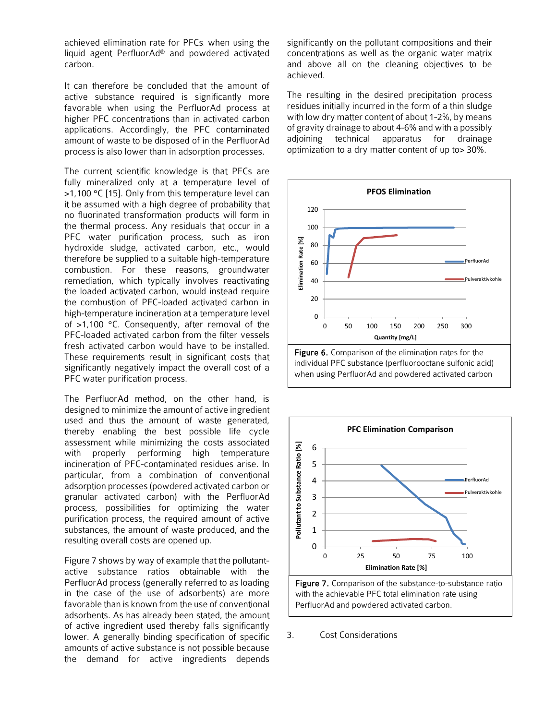achieved elimination rate for PFCs. when using the liquid agent PerfluorAd® and powdered activated carbon.

It can therefore be concluded that the amount of active substance required is significantly more favorable when using the PerfluorAd process at higher PFC concentrations than in activated carbon applications. Accordingly, the PFC contaminated amount of waste to be disposed of in the PerfluorAd process is also lower than in adsorption processes.

The current scientific knowledge is that PFCs are fully mineralized only at a temperature level of >1,100 °C [15]. Only from this temperature level can it be assumed with a high degree of probability that no fluorinated transformation products will form in the thermal process. Any residuals that occur in a PFC water purification process, such as iron hydroxide sludge, activated carbon, etc., would therefore be supplied to a suitable high-temperature combustion. For these reasons, groundwater remediation, which typically involves reactivating the loaded activated carbon, would instead require the combustion of PFC-loaded activated carbon in high-temperature incineration at a temperature level of >1,100 °C. Consequently, after removal of the PFC-loaded activated carbon from the filter vessels fresh activated carbon would have to be installed. These requirements result in significant costs that significantly negatively impact the overall cost of a PFC water purification process.

The PerfluorAd method, on the other hand, is designed to minimize the amount of active ingredient used and thus the amount of waste generated, thereby enabling the best possible life cycle assessment while minimizing the costs associated with properly performing high temperature incineration of PFC-contaminated residues arise. In particular, from a combination of conventional adsorption processes (powdered activated carbon or granular activated carbon) with the PerfluorAd process, possibilities for optimizing the water purification process, the required amount of active substances, the amount of waste produced, and the resulting overall costs are opened up.

Figure 7 shows by way of example that the pollutantactive substance ratios obtainable with the PerfluorAd process (generally referred to as loading in the case of the use of adsorbents) are more favorable than is known from the use of conventional adsorbents. As has already been stated, the amount of active ingredient used thereby falls significantly lower. A generally binding specification of specific amounts of active substance is not possible because the demand for active ingredients depends

significantly on the pollutant compositions and their concentrations as well as the organic water matrix and above all on the cleaning objectives to be achieved.

The resulting in the desired precipitation process residues initially incurred in the form of a thin sludge with low dry matter content of about 1-2%, by means of gravity drainage to about 4-6% and with a possibly adjoining technical apparatus for drainage optimization to a dry matter content of up to> 30%.





Figure 7. Comparison of the substance-to-substance ratio with the achievable PFC total elimination rate using PerfluorAd and powdered activated carbon.

3. Cost Considerations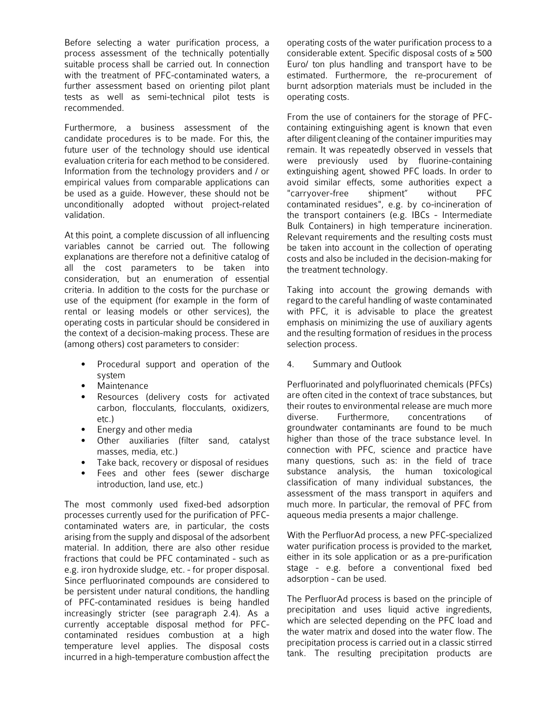Before selecting a water purification process, a process assessment of the technically potentially suitable process shall be carried out. In connection with the treatment of PFC-contaminated waters, a further assessment based on orienting pilot plant tests as well as semi-technical pilot tests is recommended.

Furthermore, a business assessment of the candidate procedures is to be made. For this, the future user of the technology should use identical evaluation criteria for each method to be considered. Information from the technology providers and / or empirical values from comparable applications can be used as a guide. However, these should not be unconditionally adopted without project-related validation.

At this point, a complete discussion of all influencing variables cannot be carried out. The following explanations are therefore not a definitive catalog of all the cost parameters to be taken into consideration, but an enumeration of essential criteria. In addition to the costs for the purchase or use of the equipment (for example in the form of rental or leasing models or other services), the operating costs in particular should be considered in the context of a decision-making process. These are (among others) cost parameters to consider:

- Procedural support and operation of the system
- **Maintenance**
- Resources (delivery costs for activated carbon, flocculants, flocculants, oxidizers, etc.)
- Energy and other media
- Other auxiliaries (filter sand, catalyst masses, media, etc.)
- Take back, recovery or disposal of residues
- Fees and other fees (sewer discharge introduction, land use, etc.)

The most commonly used fixed-bed adsorption processes currently used for the purification of PFCcontaminated waters are, in particular, the costs arising from the supply and disposal of the adsorbent material. In addition, there are also other residue fractions that could be PFC contaminated - such as e.g. iron hydroxide sludge, etc. - for proper disposal. Since perfluorinated compounds are considered to be persistent under natural conditions, the handling of PFC-contaminated residues is being handled increasingly stricter (see paragraph 2.4). As a currently acceptable disposal method for PFCcontaminated residues combustion at a high temperature level applies. The disposal costs incurred in a high-temperature combustion affect the

operating costs of the water purification process to a considerable extent. Specific disposal costs of ≥ 500 Euro/ ton plus handling and transport have to be estimated. Furthermore, the re-procurement of burnt adsorption materials must be included in the operating costs.

From the use of containers for the storage of PFCcontaining extinguishing agent is known that even after diligent cleaning of the container impurities may remain. It was repeatedly observed in vessels that were previously used by fluorine-containing extinguishing agent, showed PFC loads. In order to avoid similar effects, some authorities expect a "carryover-free shipment" without PFC contaminated residues", e.g. by co-incineration of the transport containers (e.g. IBCs - Intermediate Bulk Containers) in high temperature incineration. Relevant requirements and the resulting costs must be taken into account in the collection of operating costs and also be included in the decision-making for the treatment technology.

Taking into account the growing demands with regard to the careful handling of waste contaminated with PFC, it is advisable to place the greatest emphasis on minimizing the use of auxiliary agents and the resulting formation of residues in the process selection process.

#### 4. Summary and Outlook

Perfluorinated and polyfluorinated chemicals (PFCs) are often cited in the context of trace substances, but their routes to environmental release are much more diverse. Furthermore, concentrations of groundwater contaminants are found to be much higher than those of the trace substance level. In connection with PFC, science and practice have many questions, such as: in the field of trace substance analysis, the human toxicological classification of many individual substances, the assessment of the mass transport in aquifers and much more. In particular, the removal of PFC from aqueous media presents a major challenge.

With the PerfluorAd process, a new PFC-specialized water purification process is provided to the market, either in its sole application or as a pre-purification stage - e.g. before a conventional fixed bed adsorption - can be used.

The PerfluorAd process is based on the principle of precipitation and uses liquid active ingredients, which are selected depending on the PFC load and the water matrix and dosed into the water flow. The precipitation process is carried out in a classic stirred tank. The resulting precipitation products are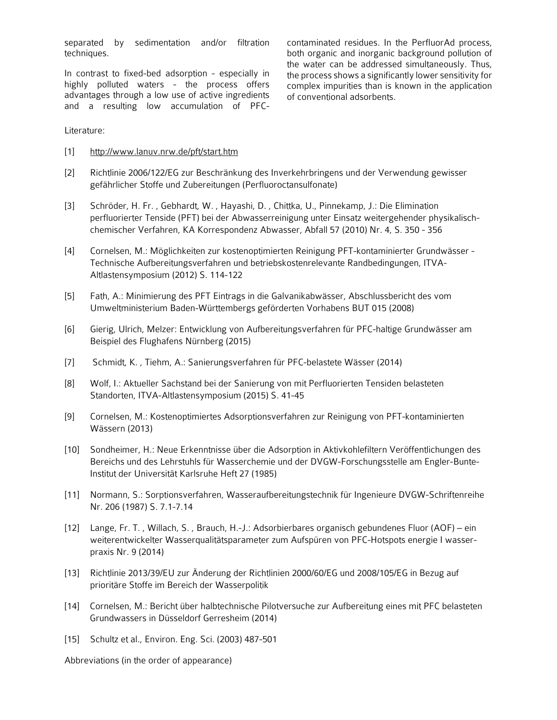separated by sedimentation and/or filtration techniques.

In contrast to fixed-bed adsorption - especially in highly polluted waters - the process offers advantages through a low use of active ingredients and a resulting low accumulation of PFC-

contaminated residues. In the PerfluorAd process, both organic and inorganic background pollution of the water can be addressed simultaneously. Thus, the process shows a significantly lower sensitivity for complex impurities than is known in the application of conventional adsorbents.

Literature:

- [1] <http://www.lanuv.nrw.de/pft/start.htm>
- [2] Richtlinie 2006/122/EG zur Beschränkung des Inverkehrbringens und der Verwendung gewisser gefährlicher Stoffe und Zubereitungen (Perfluoroctansulfonate)
- [3] Schröder, H. Fr. , Gebhardt, W. , Hayashi, D. , Chittka, U., Pinnekamp, J.: Die Elimination perfluorierter Tenside (PFT) bei der Abwasserreinigung unter Einsatz weitergehender physikalischchemischer Verfahren, KA Korrespondenz Abwasser, Abfall 57 (2010) Nr. 4, S. 350 - 356
- [4] Cornelsen, M.: Möglichkeiten zur kostenoptimierten Reinigung PFT-kontaminierter Grundwässer Technische Aufbereitungsverfahren und betriebskostenrelevante Randbedingungen, ITVA-Altlastensymposium (2012) S. 114-122
- [5] Fath, A.: Minimierung des PFT Eintrags in die Galvanikabwässer, Abschlussbericht des vom Umweltministerium Baden-Württembergs geförderten Vorhabens BUT 015 (2008)
- [6] Gierig, Ulrich, Melzer: Entwicklung von Aufbereitungsverfahren für PFC-haltige Grundwässer am Beispiel des Flughafens Nürnberg (2015)
- [7] Schmidt, K. , Tiehm, A.: Sanierungsverfahren für PFC-belastete Wässer (2014)
- [8] Wolf, I.: Aktueller Sachstand bei der Sanierung von mit Perfluorierten Tensiden belasteten Standorten, ITVA-Altlastensymposium (2015) S. 41-45
- [9] Cornelsen, M.: Kostenoptimiertes Adsorptionsverfahren zur Reinigung von PFT-kontaminierten Wässern (2013)
- [10] Sondheimer, H.: Neue Erkenntnisse über die Adsorption in Aktivkohlefiltern Veröffentlichungen des Bereichs und des Lehrstuhls für Wasserchemie und der DVGW-Forschungsstelle am Engler-Bunte-Institut der Universität Karlsruhe Heft 27 (1985)
- [11] Normann, S.: Sorptionsverfahren, Wasseraufbereitungstechnik für Ingenieure DVGW-Schriftenreihe Nr. 206 (1987) S. 7.1-7.14
- [12] Lange, Fr. T. , Willach, S. , Brauch, H.-J.: Adsorbierbares organisch gebundenes Fluor (AOF) ein weiterentwickelter Wasserqualitätsparameter zum Aufspüren von PFC-Hotspots energie I wasserpraxis Nr. 9 (2014)
- [13] Richtlinie 2013/39/EU zur Änderung der Richtlinien 2000/60/EG und 2008/105/EG in Bezug auf prioritäre Stoffe im Bereich der Wasserpolitik
- [14] Cornelsen, M.: Bericht über halbtechnische Pilotversuche zur Aufbereitung eines mit PFC belasteten Grundwassers in Düsseldorf Gerresheim (2014)
- [15] Schultz et al., Environ. Eng. Sci. (2003) 487-501

Abbreviations (in the order of appearance)